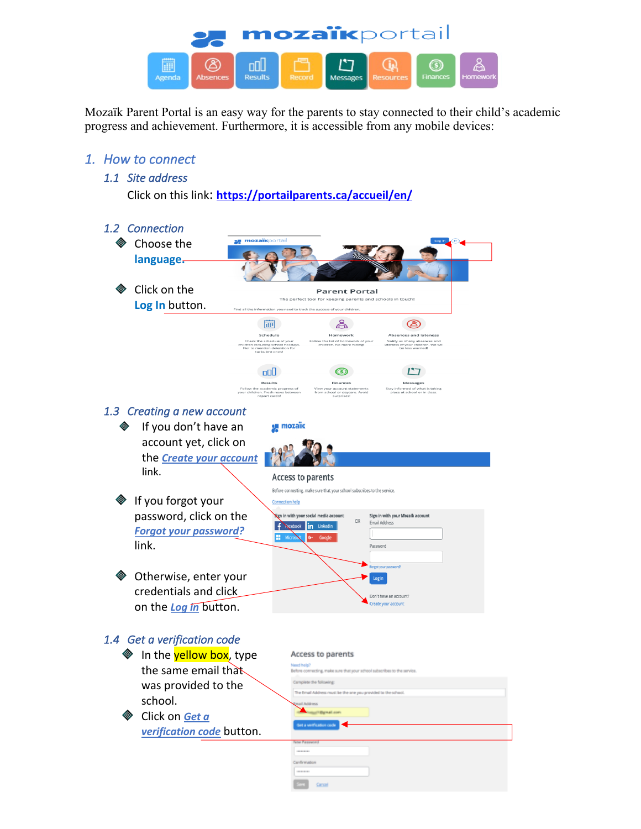

Mozaïk Parent Portal is an easy way for the parents to stay connected to their child's academic progress and achievement. Furthermore, it is accessible from any mobile devices:

## *1. How to connect*

## *1.1 Site address*

Click on this link: **https://portailparents.ca/accueil/en/**